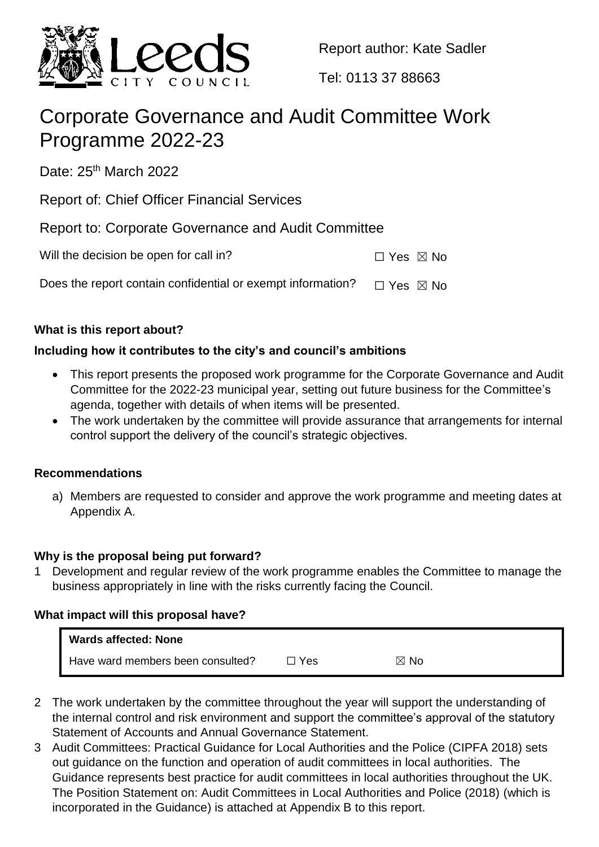

Report author: Kate Sadler

Tel: 0113 37 88663

# Corporate Governance and Audit Committee Work Programme 2022-23

Date: 25<sup>th</sup> March 2022

Report of: Chief Officer Financial Services

Report to: Corporate Governance and Audit Committee

Will the decision be open for call in?  $□$  Yes  $□$  No

Does the report contain confidential or exempt information?  $\Box$  Yes  $\boxtimes$  No

# **What is this report about?**

# **Including how it contributes to the city's and council's ambitions**

- This report presents the proposed work programme for the Corporate Governance and Audit Committee for the 2022-23 municipal year, setting out future business for the Committee's agenda, together with details of when items will be presented.
- The work undertaken by the committee will provide assurance that arrangements for internal control support the delivery of the council's strategic objectives.

# **Recommendations**

a) Members are requested to consider and approve the work programme and meeting dates at Appendix A.

# **Why is the proposal being put forward?**

1 Development and regular review of the work programme enables the Committee to manage the business appropriately in line with the risks currently facing the Council.

# **What impact will this proposal have?**

| <b>Wards affected: None</b>       |       |                |
|-----------------------------------|-------|----------------|
| Have ward members been consulted? | ⊐ Yes | $\boxtimes$ No |

- 2 The work undertaken by the committee throughout the year will support the understanding of the internal control and risk environment and support the committee's approval of the statutory Statement of Accounts and Annual Governance Statement.
- 3 Audit Committees: Practical Guidance for Local Authorities and the Police (CIPFA 2018) sets out guidance on the function and operation of audit committees in local authorities. The Guidance represents best practice for audit committees in local authorities throughout the UK. The Position Statement on: Audit Committees in Local Authorities and Police (2018) (which is incorporated in the Guidance) is attached at Appendix B to this report.